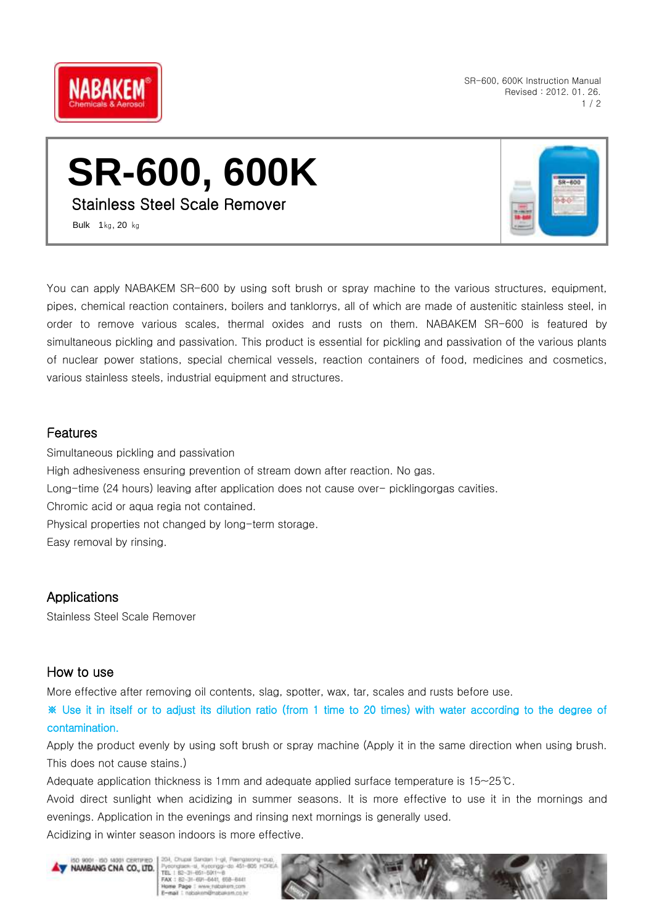

SR-600, 600K Instruction Manual Revised : 2012. 01. 26.  $1/2$ 

# **SR-600, 600K**

Stainless Steel Scale Remover

Bulk 1㎏, 20 ㎏

You can apply NABAKEM SR-600 by using soft brush or spray machine to the various structures, equipment, pipes, chemical reaction containers, boilers and tanklorrys, all of which are made of austenitic stainless steel, in order to remove various scales, thermal oxides and rusts on them. NABAKEM SR-600 is featured by simultaneous pickling and passivation. This product is essential for pickling and passivation of the various plants of nuclear power stations, special chemical vessels, reaction containers of food, medicines and cosmetics, various stainless steels, industrial equipment and structures.

#### Features

Simultaneous pickling and passivation High adhesiveness ensuring prevention of stream down after reaction. No gas. Long-time (24 hours) leaving after application does not cause over- picklingorgas cavities. Chromic acid or aqua regia not contained. Physical properties not changed by long-term storage. Easy removal by rinsing.

## **Applications**

Stainless Steel Scale Remover

#### How to use

More effective after removing oil contents, slag, spotter, wax, tar, scales and rusts before use.

※ Use it in itself or to adjust its dilution ratio (from 1 time to 20 times) with water according to the degree of contamination.

Apply the product evenly by using soft brush or spray machine (Apply it in the same direction when using brush. This does not cause stains.)

Adequate application thickness is 1mm and adequate applied surface temperature is 15~25℃.

Avoid direct sunlight when acidizing in summer seasons. It is more effective to use it in the mornings and evenings. Application in the evenings and rinsing next mornings is generally used.

Acidizing in winter season indoors is more effective.



204 Church for Pycorgises: si, Kycorggi-da 451<br>TEL 1 82-31-651-5911-8<br>FAX 1 82-31-691-6441, 658-6441 ne Page : www.ruk millionatum